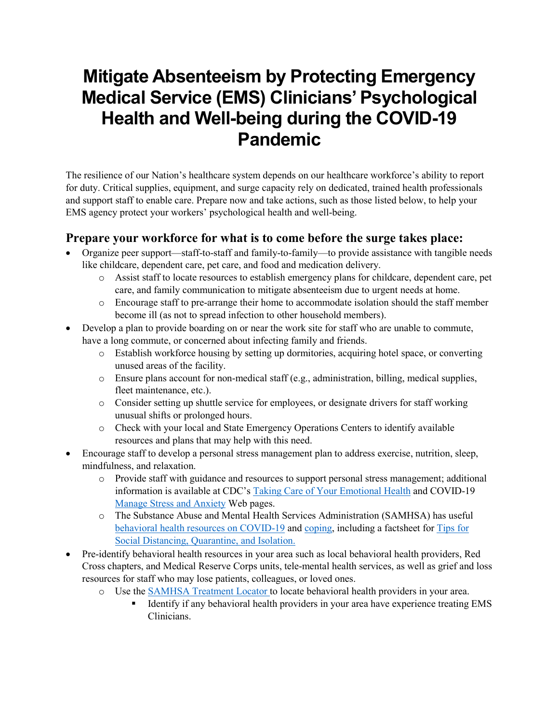## **Mitigate Absenteeism by Protecting Emergency Medical Service (EMS) Clinicians' Psychological Health and Well-being during the COVID-19 Pandemic**

The resilience of our Nation's healthcare system depends on our healthcare workforce's ability to report for duty. Critical supplies, equipment, and surge capacity rely on dedicated, trained health professionals and support staff to enable care. Prepare now and take actions, such as those listed below, to help your EMS agency protect your workers' psychological health and well-being.

## **Prepare your workforce for what is to come before the surge takes place:**

- Organize peer support—staff-to-staff and family-to-family—to provide assistance with tangible needs like childcare, dependent care, pet care, and food and medication delivery.
	- o Assist staff to locate resources to establish emergency plans for childcare, dependent care, pet care, and family communication to mitigate absenteeism due to urgent needs at home.
	- o Encourage staff to pre-arrange their home to accommodate isolation should the staff member become ill (as not to spread infection to other household members).
- Develop a plan to provide boarding on or near the work site for staff who are unable to commute, have a long commute, or concerned about infecting family and friends.
	- o Establish workforce housing by setting up dormitories, acquiring hotel space, or converting unused areas of the facility.
	- $\circ$  Ensure plans account for non-medical staff (e.g., administration, billing, medical supplies, fleet maintenance, etc.).
	- o Consider setting up shuttle service for employees, or designate drivers for staff working unusual shifts or prolonged hours.
	- o Check with your local and State Emergency Operations Centers to identify available resources and plans that may help with this need.
- Encourage staff to develop a personal stress management plan to address exercise, nutrition, sleep, mindfulness, and relaxation.
	- o Provide staff with guidance and resources to support personal stress management; additional information is available at CDC's [Taking Care of Your Emotional Health](https://emergency.cdc.gov/coping/selfcare.asp) and COVID-19 [Manage Stress and Anxiety](https://www.cdc.gov/coronavirus/2019-ncov/prepare/managing-stress-anxiety.html?CDC_AA_refVal=https%3A%2F%2Fwww.cdc.gov%2Fcoronavirus%2F2019-ncov%2Fabout%2Fcoping.html) Web pages.
	- o The Substance Abuse and Mental Health Services Administration (SAMHSA) has useful [behavioral health resources on COVID-19](https://www.samhsa.gov/coronavirus) and [coping,](https://www.samhsa.gov/find-help/disaster-distress-helpline/coping-tips) including a factsheet for [Tips for](https://www.samhsa.gov/sites/default/files/tips-social-distancing-quarantine-isolation-031620.pdf)  [Social Distancing, Quarantine, and Isolation.](https://www.samhsa.gov/sites/default/files/tips-social-distancing-quarantine-isolation-031620.pdf)
- Pre-identify behavioral health resources in your area such as local behavioral health providers, Red Cross chapters, and Medical Reserve Corps units, tele-mental health services, as well as grief and loss resources for staff who may lose patients, colleagues, or loved ones.
	- o Use the **SAMHSA Treatment Locator** to locate behavioral health providers in your area.<br>
	Identify if any behavioral health providers in your area have experience treating
		- Identify if any behavioral health providers in your area have experience treating EMS Clinicians.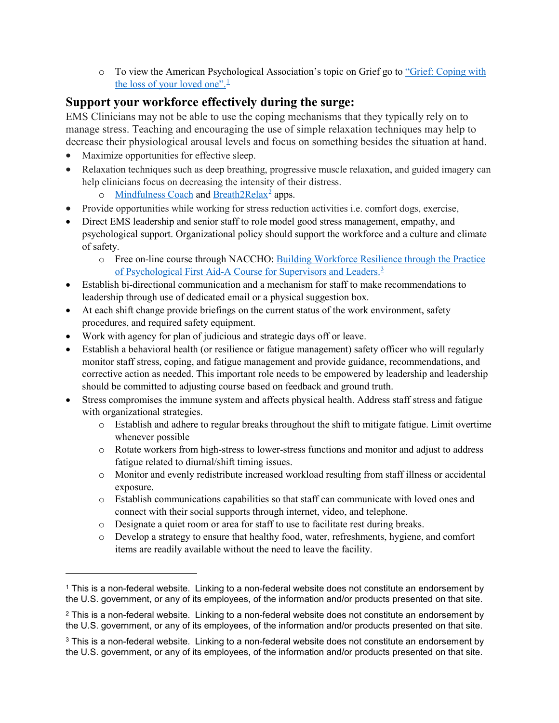o To view the American Psychological Association's topic on Grief go to ["Grief: Coping with](https://www.apa.org/topics/grief)  [the loss of your loved one".](https://www.apa.org/topics/grief)<sup>[1](#page-1-0)</sup>

## **Support your workforce effectively during the surge:**

EMS Clinicians may not be able to use the coping mechanisms that they typically rely on to manage stress. Teaching and encouraging the use of simple relaxation techniques may help to decrease their physiological arousal levels and focus on something besides the situation at hand.

Maximize opportunities for effective sleep.

 $\overline{a}$ 

- Relaxation techniques such as deep breathing, progressive muscle relaxation, and guided imagery can help clinicians focus on decreasing the intensity of their distress.
	- $\circ$  [Mindfulness Coach](https://mobile.va.gov/app/mindfulness-coach) and [Breath2Relax](https://apps.apple.com/us/app/breathe2relax/id425720246)<sup>[2](#page-1-1)</sup> apps.
- Provide opportunities while working for stress reduction activities i.e. comfort dogs, exercise,
- Direct EMS leadership and senior staff to role model good stress management, empathy, and psychological support. Organizational policy should support the workforce and a culture and climate of safety.
	- o Free on-line course through NACCHO: [Building Workforce Resilience through the Practice](https://www.pathlms.com/naccho/courses/4592)  [of Psychological First Aid-A Course for Supervisors and Leaders.](https://www.pathlms.com/naccho/courses/4592)<sup>[3](#page-1-2)</sup>
- Establish bi-directional communication and a mechanism for staff to make recommendations to leadership through use of dedicated email or a physical suggestion box.
- At each shift change provide briefings on the current status of the work environment, safety procedures, and required safety equipment.
- Work with agency for plan of judicious and strategic days off or leave.
- Establish a behavioral health (or resilience or fatigue management) safety officer who will regularly monitor staff stress, coping, and fatigue management and provide guidance, recommendations, and corrective action as needed. This important role needs to be empowered by leadership and leadership should be committed to adjusting course based on feedback and ground truth.
- Stress compromises the immune system and affects physical health. Address staff stress and fatigue with organizational strategies.
	- o Establish and adhere to regular breaks throughout the shift to mitigate fatigue. Limit overtime whenever possible
	- o Rotate workers from high-stress to lower-stress functions and monitor and adjust to address fatigue related to diurnal/shift timing issues.
	- o Monitor and evenly redistribute increased workload resulting from staff illness or accidental exposure.
	- o Establish communications capabilities so that staff can communicate with loved ones and connect with their social supports through internet, video, and telephone.
	- o Designate a quiet room or area for staff to use to facilitate rest during breaks.
	- o Develop a strategy to ensure that healthy food, water, refreshments, hygiene, and comfort items are readily available without the need to leave the facility.

<span id="page-1-0"></span><sup>1</sup> This is a non-federal website. Linking to a non-federal website does not constitute an endorsement by the U.S. government, or any of its employees, of the information and/or products presented on that site.

<span id="page-1-1"></span> $2$  This is a non-federal website. Linking to a non-federal website does not constitute an endorsement by the U.S. government, or any of its employees, of the information and/or products presented on that site.

<span id="page-1-2"></span><sup>&</sup>lt;sup>3</sup> This is a non-federal website. Linking to a non-federal website does not constitute an endorsement by the U.S. government, or any of its employees, of the information and/or products presented on that site.